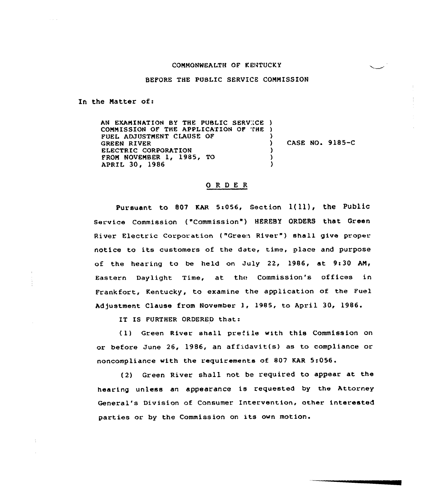## COMMONWEALTH QF KENTUCKY

## BEFORE THE PUBLIC SERVICE COMMISSION

In the Matter of:

AN EXAMINATION BY THE PUBLIC SERVICE ) COMMISSION OF THE APPLICATION OF THE ) FUEL ADJUSTMENT CLAUSE OF GREEN RIVER ELECTRIC CORPORATION FROM NOVEMBER 1, 1985, TO APRIL 30, 1986 ) ) CASE NO. 9185-C ) ) )

## ORDER

Pursuant to 807 KAR 5:056, Section  $1(11)$ , the Public Service Commission ( "Comm iss ion" ) HEREBy ORDERS that Green River Electric Corporation ("Green River") shall give proper notice to its customers of the date, time, place and purpose of the hearing to be held on July 22, 1986, at 9:30 AM, Eastern Daylight Time, at the Commission's offices in Frankfort, Kentucky, to examine the application of the Fuel Adjustment Clause from November 1, 1985, to April 30, 1986.

IT IS FURTHER ORDERED that:

( 1) Green River shall prefi le with this Commission on or before June 26, 1986, an aff;idavit(s) as to compliance or noncompliance with the requirements of 807 KAR 5:056.

(2) Green River shall not be required to appear at the hearing unless an appearance is requested by the Attorney General's Division af Consumer Intervention, other interested parties or by the Commission on its own motion.